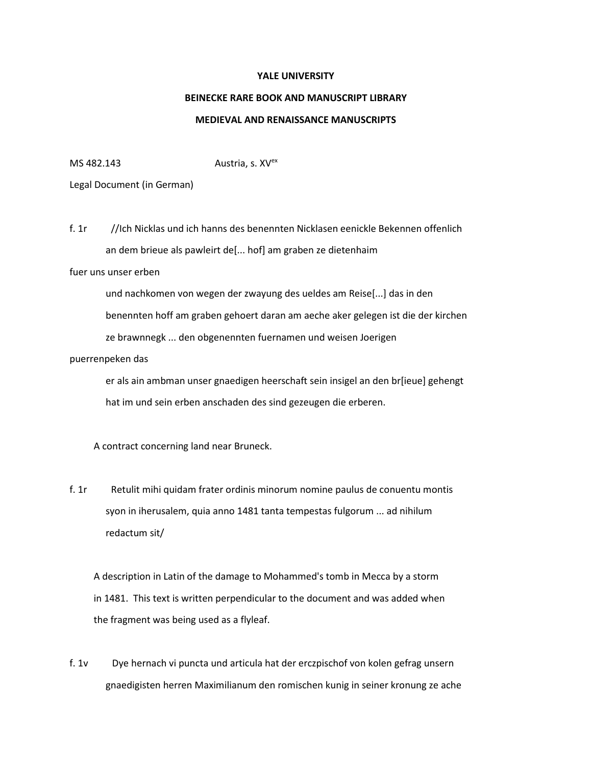#### **YALE UNIVERSITY**

# **BEINECKE RARE BOOK AND MANUSCRIPT LIBRARY**

### **MEDIEVAL AND RENAISSANCE MANUSCRIPTS**

 $MS$  482.143 Austria, s.  $XV<sup>ex</sup>$ 

#### Legal Document (in German)

f. 1r //Ich Nicklas und ich hanns des benennten Nicklasen eenickle Bekennen offenlich an dem brieue als pawleirt de[... hof] am graben ze dietenhaim

## fuer uns unser erben

 und nachkomen von wegen der zwayung des ueldes am Reise[...] das in den benennten hoff am graben gehoert daran am aeche aker gelegen ist die der kirchen ze brawnnegk ... den obgenennten fuernamen und weisen Joerigen

### puerrenpeken das

 er als ain ambman unser gnaedigen heerschaft sein insigel an den br[ieue] gehengt hat im und sein erben anschaden des sind gezeugen die erberen.

## A contract concerning land near Bruneck.

f. 1r Retulit mihi quidam frater ordinis minorum nomine paulus de conuentu montis syon in iherusalem, quia anno 1481 tanta tempestas fulgorum ... ad nihilum redactum sit/

 A description in Latin of the damage to Mohammed's tomb in Mecca by a storm in 1481. This text is written perpendicular to the document and was added when the fragment was being used as a flyleaf.

f. 1v Dye hernach vi puncta und articula hat der erczpischof von kolen gefrag unsern gnaedigisten herren Maximilianum den romischen kunig in seiner kronung ze ache